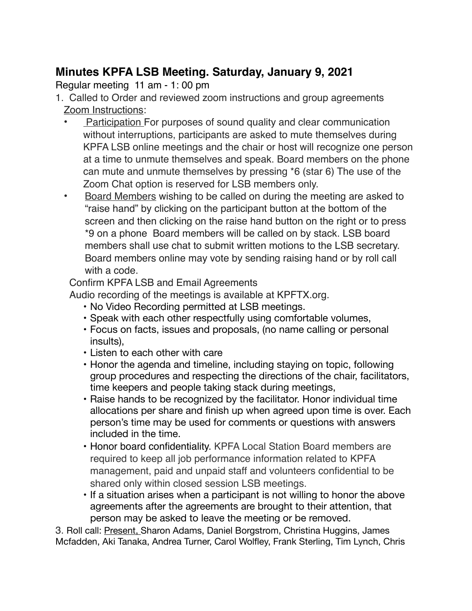## **Minutes KPFA LSB Meeting. Saturday, January 9, 2021**

Regular meeting 11 am - 1: 00 pm

- 1. Called to Order and reviewed zoom instructions and group agreements Zoom Instructions:
	- **Participation For purposes of sound quality and clear communication** without interruptions, participants are asked to mute themselves during KPFA LSB online meetings and the chair or host will recognize one person at a time to unmute themselves and speak. Board members on the phone can mute and unmute themselves by pressing \*6 (star 6) The use of the Zoom Chat option is reserved for LSB members only.
	- Board Members wishing to be called on during the meeting are asked to "raise hand" by clicking on the participant button at the bottom of the screen and then clicking on the raise hand button on the right or to press \*9 on a phone Board members will be called on by stack. LSB board members shall use chat to submit written motions to the LSB secretary. Board members online may vote by sending raising hand or by roll call with a code.

Confirm KPFA LSB and Email Agreements

Audio recording of the meetings is available at KPFTX.org.

- No Video Recording permitted at LSB meetings.
- Speak with each other respectfully using comfortable volumes,
- Focus on facts, issues and proposals, (no name calling or personal insults),
- Listen to each other with care
- Honor the agenda and timeline, including staying on topic, following group procedures and respecting the directions of the chair, facilitators, time keepers and people taking stack during meetings,
- Raise hands to be recognized by the facilitator. Honor individual time allocations per share and finish up when agreed upon time is over. Each person's time may be used for comments or questions with answers included in the time.
- **•** Honor board confidentiality. KPFA Local Station Board members are required to keep all job performance information related to KPFA management, paid and unpaid staff and volunteers confidential to be shared only within closed session LSB meetings.
- If a situation arises when a participant is not willing to honor the above agreements after the agreements are brought to their attention, that person may be asked to leave the meeting or be removed.

3. Roll call: Present, Sharon Adams, Daniel Borgstrom, Christina Huggins, James Mcfadden, Aki Tanaka, Andrea Turner, Carol Wolfley, Frank Sterling, Tim Lynch, Chris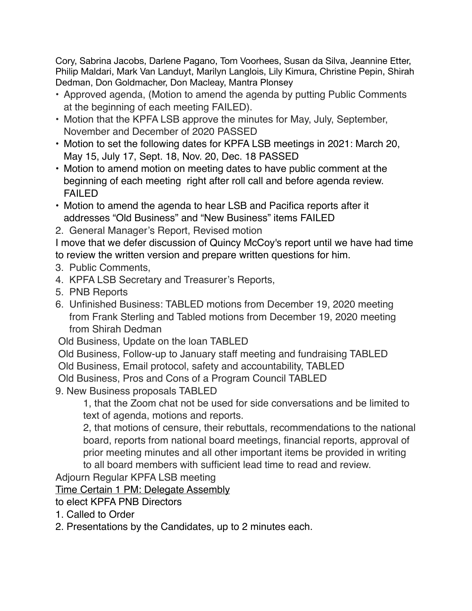Cory, Sabrina Jacobs, Darlene Pagano, Tom Voorhees, Susan da Silva, Jeannine Etter, Philip Maldari, Mark Van Landuyt, Marilyn Langlois, Lily Kimura, Christine Pepin, Shirah Dedman, Don Goldmacher, Don Macleay, Mantra Plonsey

- Approved agenda, (Motion to amend the agenda by putting Public Comments at the beginning of each meeting FAILED).
- Motion that the KPFA LSB approve the minutes for May, July, September, November and December of 2020 PASSED
- Motion to set the following dates for KPFA LSB meetings in 2021: March 20, May 15, July 17, Sept. 18, Nov. 20, Dec. 18 PASSED
- Motion to amend motion on meeting dates to have public comment at the beginning of each meeting right after roll call and before agenda review. FAILED
- Motion to amend the agenda to hear LSB and Pacifica reports after it addresses "Old Business" and "New Business" items FAILED
- 2. General Manager's Report, Revised motion

I move that we defer discussion of Quincy McCoy's report until we have had time to review the written version and prepare written questions for him.

- 3. Public Comments,
- 4. KPFA LSB Secretary and Treasurer's Reports,
- 5. PNB Reports
- 6. Unfinished Business: TABLED motions from December 19, 2020 meeting from Frank Sterling and Tabled motions from December 19, 2020 meeting from Shirah Dedman
- Old Business, Update on the loan TABLED
- Old Business, Follow-up to January staff meeting and fundraising TABLED
- Old Business, Email protocol, safety and accountability, TABLED
- Old Business, Pros and Cons of a Program Council TABLED
- 9. New Business proposals TABLED

1, that the Zoom chat not be used for side conversations and be limited to text of agenda, motions and reports.

2, that motions of censure, their rebuttals, recommendations to the national board, reports from national board meetings, financial reports, approval of prior meeting minutes and all other important items be provided in writing to all board members with sufficient lead time to read and review.

Adjourn Regular KPFA LSB meeting

Time Certain 1 PM: Delegate Assembly

to elect KPFA PNB Directors

- 1. Called to Order
- 2. Presentations by the Candidates, up to 2 minutes each.